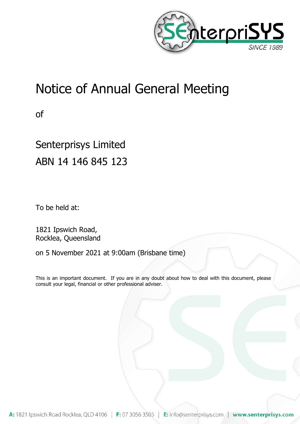

# Notice of Annual General Meeting

of

# Senterprisys Limited ABN 14 146 845 123

To be held at:

1821 Ipswich Road, Rocklea, Queensland

on 5 November 2021 at 9:00am (Brisbane time)

This is an important document. If you are in any doubt about how to deal with this document, please consult your legal, financial or other professional adviser.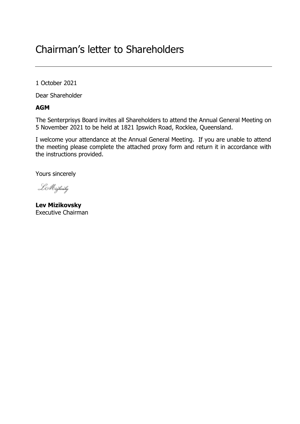## Chairman's letter to Shareholders

1 October 2021

Dear Shareholder

## **AGM**

The Senterprisys Board invites all Shareholders to attend the Annual General Meeting on 5 November 2021 to be held at 1821 Ipswich Road, Rocklea, Queensland.

I welcome your attendance at the Annual General Meeting. If you are unable to attend the meeting please complete the attached proxy form and return it in accordance with the instructions provided.

Yours sincerely

LMizikoaiky

**Lev Mizikovsky** Executive Chairman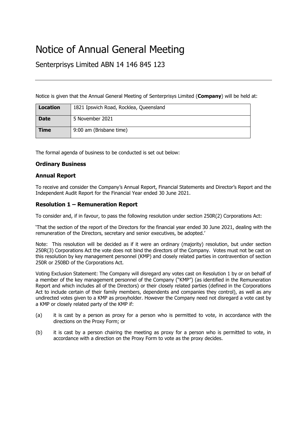## Notice of Annual General Meeting

Senterprisys Limited ABN 14 146 845 123

Notice is given that the Annual General Meeting of Senterprisys Limited (**Company**) will be held at:

| <b>Location</b> | 1821 Ipswich Road, Rocklea, Queensland |
|-----------------|----------------------------------------|
| <b>Date</b>     | 5 November 2021                        |
| <b>Time</b>     | 9:00 am (Brisbane time)                |

The formal agenda of business to be conducted is set out below:

#### **Ordinary Business**

#### **Annual Report**

To receive and consider the Company's Annual Report, Financial Statements and Director's Report and the Independent Audit Report for the Financial Year ended 30 June 2021.

#### **Resolution 1 – Remuneration Report**

To consider and, if in favour, to pass the following resolution under section 250R(2) Corporations Act:

'That the section of the report of the Directors for the financial year ended 30 June 2021, dealing with the remuneration of the Directors, secretary and senior executives, be adopted.'

Note: This resolution will be decided as if it were an ordinary (majority) resolution, but under section 250R(3) Corporations Act the vote does not bind the directors of the Company. Votes must not be cast on this resolution by key management personnel (KMP) and closely related parties in contravention of section 250R or 250BD of the Corporations Act.

Voting Exclusion Statement: The Company will disregard any votes cast on Resolution 1 by or on behalf of a member of the key management personnel of the Company ("KMP") (as identified in the Remuneration Report and which includes all of the Directors) or their closely related parties (defined in the Corporations Act to include certain of their family members, dependents and companies they control), as well as any undirected votes given to a KMP as proxyholder. However the Company need not disregard a vote cast by a KMP or closely related party of the KMP if:

- (a) it is cast by a person as proxy for a person who is permitted to vote, in accordance with the directions on the Proxy Form; or
- (b) it is cast by a person chairing the meeting as proxy for a person who is permitted to vote, in accordance with a direction on the Proxy Form to vote as the proxy decides.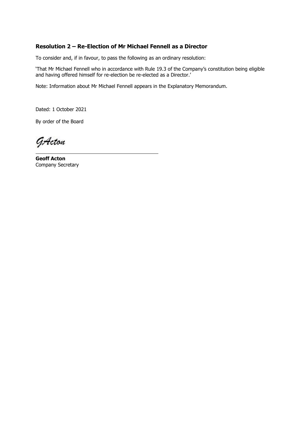### **Resolution 2 – Re-Election of Mr Michael Fennell as a Director**

To consider and, if in favour, to pass the following as an ordinary resolution:

'That Mr Michael Fennell who in accordance with Rule 19.3 of the Company's constitution being eligible and having offered himself for re-election be re-elected as a Director.'

Note: Information about Mr Michael Fennell appears in the Explanatory Memorandum.

Dated: 1 October 2021

By order of the Board

GActon

**Geoff Acton** Company Secretary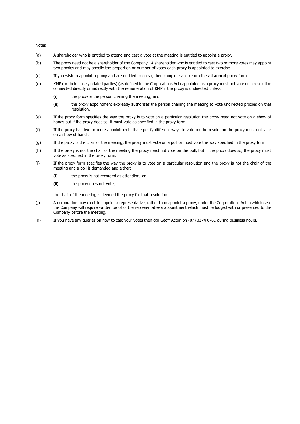Notes

- (a) A shareholder who is entitled to attend and cast a vote at the meeting is entitled to appoint a proxy.
- (b) The proxy need not be a shareholder of the Company. A shareholder who is entitled to cast two or more votes may appoint two proxies and may specify the proportion or number of votes each proxy is appointed to exercise.
- (c) If you wish to appoint a proxy and are entitled to do so, then complete and return the **attached** proxy form.
- (d) KMP (or their closely related parties) (as defined in the Corporations Act) appointed as a proxy must not vote on a resolution connected directly or indirectly with the remuneration of KMP if the proxy is undirected unless:
	- (i) the proxy is the person chairing the meeting; and
	- (ii) the proxy appointment expressly authorises the person chairing the meeting to vote undirected proxies on that resolution.
- (e) If the proxy form specifies the way the proxy is to vote on a particular resolution the proxy need not vote on a show of hands but if the proxy does so, it must vote as specified in the proxy form.
- (f) If the proxy has two or more appointments that specify different ways to vote on the resolution the proxy must not vote on a show of hands.
- (g) If the proxy is the chair of the meeting, the proxy must vote on a poll or must vote the way specified in the proxy form.
- (h) If the proxy is not the chair of the meeting the proxy need not vote on the poll, but if the proxy does so, the proxy must vote as specified in the proxy form.
- (i) If the proxy form specifies the way the proxy is to vote on a particular resolution and the proxy is not the chair of the meeting and a poll is demanded and either:
	- (i) the proxy is not recorded as attending; or
	- (ii) the proxy does not vote,

the chair of the meeting is deemed the proxy for that resolution.

- (j) A corporation may elect to appoint a representative, rather than appoint a proxy, under the Corporations Act in which case the Company will require written proof of the representative's appointment which must be lodged with or presented to the Company before the meeting.
- (k) If you have any queries on how to cast your votes then call Geoff Acton on (07) 3274 0761 during business hours.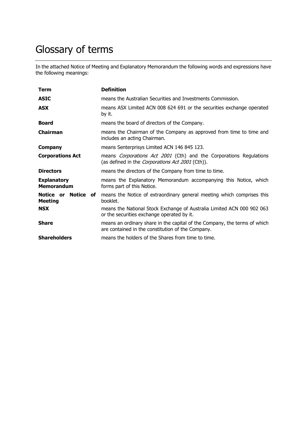## Glossary of terms

In the attached Notice of Meeting and Explanatory Memorandum the following words and expressions have the following meanings:

| Term                                    | <b>Definition</b>                                                                                                                    |
|-----------------------------------------|--------------------------------------------------------------------------------------------------------------------------------------|
| <b>ASIC</b>                             | means the Australian Securities and Investments Commission.                                                                          |
| <b>ASX</b>                              | means ASX Limited ACN 008 624 691 or the securities exchange operated<br>by it.                                                      |
| <b>Board</b>                            | means the board of directors of the Company.                                                                                         |
| <b>Chairman</b>                         | means the Chairman of the Company as approved from time to time and<br>includes an acting Chairman.                                  |
| <b>Company</b>                          | means Senterprisys Limited ACN 146 845 123.                                                                                          |
| <b>Corporations Act</b>                 | means <i>Corporations Act 2001</i> (Cth) and the Corporations Regulations<br>(as defined in the <i>Corporations Act 2001</i> (Cth)). |
| <b>Directors</b>                        | means the directors of the Company from time to time.                                                                                |
| <b>Explanatory</b><br><b>Memorandum</b> | means the Explanatory Memorandum accompanying this Notice, which<br>forms part of this Notice.                                       |
| Notice or Notice of<br><b>Meeting</b>   | means the Notice of extraordinary general meeting which comprises this<br>booklet.                                                   |
| <b>NSX</b>                              | means the National Stock Exchange of Australia Limited ACN 000 902 063<br>or the securities exchange operated by it.                 |
| <b>Share</b>                            | means an ordinary share in the capital of the Company, the terms of which<br>are contained in the constitution of the Company.       |
| <b>Shareholders</b>                     | means the holders of the Shares from time to time.                                                                                   |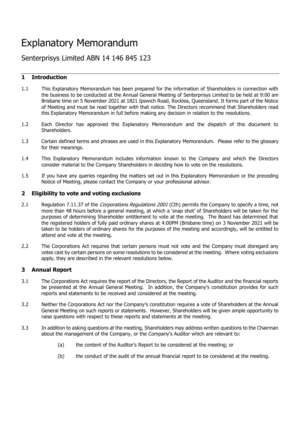## Explanatory Memorandum

## Senterprisys Limited ABN 14 146 845 123

### **1 Introduction**

- 1.1 This Explanatory Memorandum has been prepared for the information of Shareholders in connection with the business to be conducted at the Annual General Meeting of Senterprisys Limited to be held at 9:00 am Brisbane time on 5 November 2021 at 1821 Ipswich Road, Rocklea, Queensland. It forms part of the Notice of Meeting and must be read together with that notice. The Directors recommend that Shareholders read this Explanatory Memorandum in full before making any decision in relation to the resolutions.
- 1.2 Each Director has approved this Explanatory Memorandum and the dispatch of this document to Shareholders.
- 1.3 Certain defined terms and phrases are used in this Explanatory Memorandum. Please refer to the glossary for their meanings.
- 1.4 This Explanatory Memorandum includes information known to the Company and which the Directors consider material to the Company Shareholders in deciding how to vote on the resolutions.
- 1.5 If you have any queries regarding the matters set out in this Explanatory Memorandum or the preceding Notice of Meeting, please contact the Company or your professional advisor.

#### **2 Eligibility to vote and voting exclusions**

- 2.1 Regulation 7.11.37 of the *Corporations Regulations 2001* (Cth) permits the Company to specify a time, not more than 48 hours before a general meeting, at which a 'snap shot' of Shareholders will be taken for the purposes of determining Shareholder entitlement to vote at the meeting. The Board has determined that the registered holders of fully paid ordinary shares at 4:00PM (Brisbane time) on 3 November 2021 will be taken to be holders of ordinary shares for the purposes of the meeting and accordingly, will be entitled to attend and vote at the meeting.
- 2.2 The Corporations Act requires that certain persons must not vote and the Company must disregard any votes cast by certain persons on some resolutions to be considered at the meeting. Where voting exclusions apply, they are described in the relevant resolutions below.

#### **3 Annual Report**

- 3.1 The Corporations Act requires the report of the Directors, the Report of the Auditor and the financial reports be presented at the Annual General Meeting. In addition, the Company's constitution provides for such reports and statements to be received and considered at the meeting.
- 3.2 Neither the Corporations Act nor the Company's constitution requires a vote of Shareholders at the Annual General Meeting on such reports or statements. However, Shareholders will be given ample opportunity to raise questions with respect to these reports and statements at the meeting.
- 3.3 In addition to asking questions at the meeting, Shareholders may address written questions to the Chairman about the management of the Company, or the Company's Auditor which are relevant to:
	- (a) the content of the Auditor's Report to be considered at the meeting; or
	- (b) the conduct of the audit of the annual financial report to be considered at the meeting.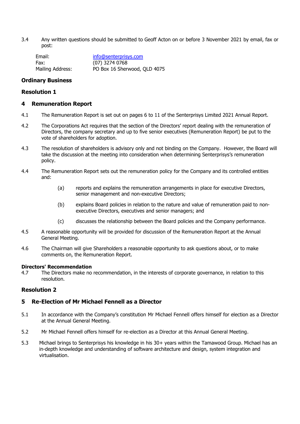3.4 Any written questions should be submitted to Geoff Acton on or before 3 November 2021 by email, fax or post:

| Email:           | info@senterprisys.com        |
|------------------|------------------------------|
| Fax:             | (07) 3274 0768               |
| Mailing Address: | PO Box 16 Sherwood, QLD 4075 |

#### **Ordinary Business**

#### **Resolution 1**

#### **4 Remuneration Report**

- 4.1 The Remuneration Report is set out on pages 6 to 11 of the Senterprisys Limited 2021 Annual Report.
- 4.2 The Corporations Act requires that the section of the Directors' report dealing with the remuneration of Directors, the company secretary and up to five senior executives (Remuneration Report) be put to the vote of shareholders for adoption.
- 4.3 The resolution of shareholders is advisory only and not binding on the Company. However, the Board will take the discussion at the meeting into consideration when determining Senterprisys's remuneration policy.
- 4.4 The Remuneration Report sets out the remuneration policy for the Company and its controlled entities and:
	- (a) reports and explains the remuneration arrangements in place for executive Directors, senior management and non-executive Directors;
	- (b) explains Board policies in relation to the nature and value of remuneration paid to nonexecutive Directors, executives and senior managers; and
	- (c) discusses the relationship between the Board policies and the Company performance.
- 4.5 A reasonable opportunity will be provided for discussion of the Remuneration Report at the Annual General Meeting.
- 4.6 The Chairman will give Shareholders a reasonable opportunity to ask questions about, or to make comments on, the Remuneration Report.

#### **Directors' Recommendation**

4.7 The Directors make no recommendation, in the interests of corporate governance, in relation to this resolution.

#### **Resolution 2**

#### **5 Re-Election of Mr Michael Fennell as a Director**

- 5.1 In accordance with the Company's constitution Mr Michael Fennell offers himself for election as a Director at the Annual General Meeting.
- 5.2 Mr Michael Fennell offers himself for re-election as a Director at this Annual General Meeting.
- 5.3 Michael brings to Senterprisys his knowledge in his 30+ years within the Tamawood Group. Michael has an in-depth knowledge and understanding of software architecture and design, system integration and virtualisation.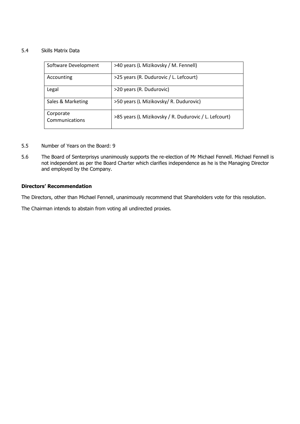#### 5.4 Skills Matrix Data

| Software Development        | >40 years (L Mizikovsky / M. Fennell)                 |
|-----------------------------|-------------------------------------------------------|
| Accounting                  | >25 years (R. Dudurovic / L. Lefcourt)                |
| Legal                       | >20 years (R. Dudurovic)                              |
| Sales & Marketing           | >50 years (L Mizikovsky/ R. Dudurovic)                |
| Corporate<br>Communications | >85 years (L Mizikovsky / R. Dudurovic / L. Lefcourt) |

- 5.5 Number of Years on the Board: 9
- 5.6 The Board of Senterprisys unanimously supports the re-election of Mr Michael Fennell. Michael Fennell is not independent as per the Board Charter which clarifies independence as he is the Managing Director and employed by the Company.

#### **Directors' Recommendation**

The Directors, other than Michael Fennell, unanimously recommend that Shareholders vote for this resolution.

The Chairman intends to abstain from voting all undirected proxies.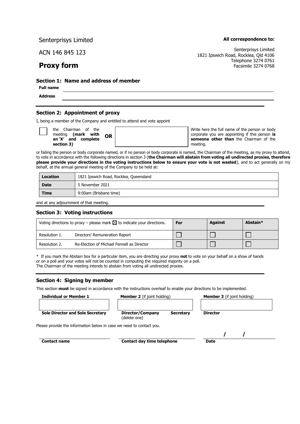Senterprisys Limited

ACN 146 845 123

## **Proxy form**

**All correspondence to:**

Senterprisys Limited 1821 Ipswich Road, Rocklea, Qld 4106 Telephone 3274 0761 Facsimile 3274 0768

#### **Section 1: Name and address of member**

**Full name Address**

#### **Section 2: Appointment of proxy**

I, being a member of the Company and entitled to attend and vote appoint

|  | the Chairman of the<br>meeting (mark with |  | <b>OR</b> |
|--|-------------------------------------------|--|-----------|
|  | an 'X' and complete<br>section 3)         |  |           |

Write here the full name of the person or body corporate you are appointing if this person **is someone other than** the Chairman of the meeting.

or failing the person or body corporate named, or if no person or body corporate is named, the Chairman of the meeting, as my proxy to attend, to vote in accordance with the following directions in section 3 (**the Chairman will abstain from voting all undirected proxies, therefore please provide your directions in the voting instructions below to ensure your vote is not wasted**), and to act generally on my behalf, at the annual general meeting of the Company to be held at:

| Location    | 1821 Ipswich Road, Rocklea, Queensland |  |
|-------------|----------------------------------------|--|
| <b>Date</b> | 5 November 2021                        |  |
| <b>Time</b> | 9:00am (Brisbane time)                 |  |

and at any adjournment of that meeting.

#### **Section 3: Voting instructions**

| Voting directions to proxy – please mark $\boxtimes$ to indicate your directions. |                                            | For | <b>Against</b> | Abstain* |
|-----------------------------------------------------------------------------------|--------------------------------------------|-----|----------------|----------|
| Resolution 1.                                                                     | Directors' Remuneration Report             |     |                |          |
| Resolution 2.                                                                     | Re-Election of Michael Fennell as Director |     |                |          |

\* If you mark the Abstain box for a particular item, you are directing your proxy **not** to vote on your behalf on a show of hands or on a poll and your votes will not be counted in computing the required majority on a poll.

The Chairman of the meeting intends to abstain from voting all undirected proxies.

#### **Section 4: Signing by member**

This section **must** be signed in accordance with the instructions overleaf to enable your directions to be implemented.

**Individual or Member 1 Member 2** (if joint holding) **Member 3** (if joint holding)

**Sole Director and Sole Secretary Director/Company Secretary** 

**Director**

(delete one)

Please provide the information below in case we need to contact you.

**Contact name Contact day time telephone Date** 

 **/ /**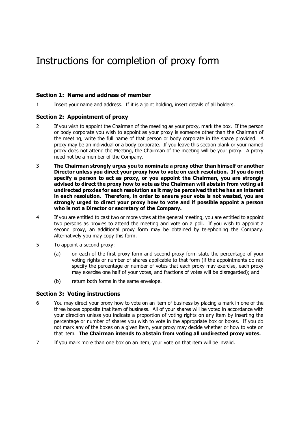#### **Section 1: Name and address of member**

1 Insert your name and address. If it is a joint holding, insert details of all holders.

#### **Section 2: Appointment of proxy**

- 2 If you wish to appoint the Chairman of the meeting as your proxy, mark the box. If the person or body corporate you wish to appoint as your proxy is someone other than the Chairman of the meeting, write the full name of that person or body corporate in the space provided. A proxy may be an individual or a body corporate. If you leave this section blank or your named proxy does not attend the Meeting, the Chairman of the meeting will be your proxy. A proxy need not be a member of the Company.
- 3 **The Chairman strongly urges you to nominate a proxy other than himself or another Director unless you direct your proxy how to vote on each resolution. If you do not specify a person to act as proxy, or you appoint the Chairman, you are strongly advised to direct the proxy how to vote as the Chairman will abstain from voting all undirected proxies for each resolution as it may be perceived that he has an interest in each resolution. Therefore, in order to ensure your vote is not wasted, you are strongly urged to direct your proxy how to vote and if possible appoint a person who is not a Director or secretary of the Company.**
- 4 If you are entitled to cast two or more votes at the general meeting, you are entitled to appoint two persons as proxies to attend the meeting and vote on a poll. If you wish to appoint a second proxy, an additional proxy form may be obtained by telephoning the Company. Alternatively you may copy this form.
- 5 To appoint a second proxy:
	- (a) on each of the first proxy form and second proxy form state the percentage of your voting rights or number of shares applicable to that form (if the appointments do not specify the percentage or number of votes that each proxy may exercise, each proxy may exercise one half of your votes, and fractions of votes will be disregarded); and
	- (b) return both forms in the same envelope.

#### **Section 3: Voting instructions**

- 6 You may direct your proxy how to vote on an item of business by placing a mark in one of the three boxes opposite that item of business. All of your shares will be voted in accordance with your direction unless you indicate a proportion of voting rights on any item by inserting the percentage or number of shares you wish to vote in the appropriate box or boxes. If you do not mark any of the boxes on a given item, your proxy may decide whether or how to vote on that item. **The Chairman intends to abstain from voting all undirected proxy votes.**
- 7 If you mark more than one box on an item, your vote on that item will be invalid.